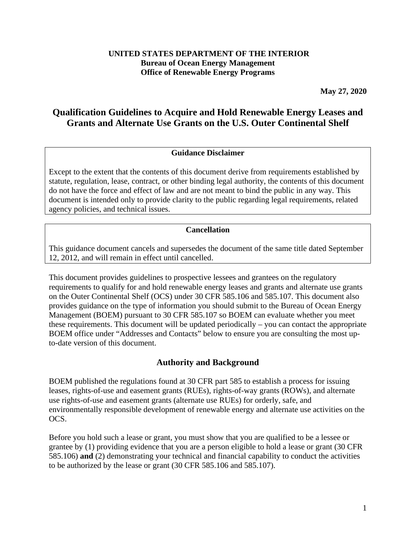#### **UNITED STATES DEPARTMENT OF THE INTERIOR Bureau of Ocean Energy Management Office of Renewable Energy Programs**

**May 27, 2020**

# **Qualification Guidelines to Acquire and Hold Renewable Energy Leases and Grants and Alternate Use Grants on the U.S. Outer Continental Shelf**

#### **Guidance Disclaimer**

Except to the extent that the contents of this document derive from requirements established by statute, regulation, lease, contract, or other binding legal authority, the contents of this document do not have the force and effect of law and are not meant to bind the public in any way. This document is intended only to provide clarity to the public regarding legal requirements, related agency policies, and technical issues.

#### **Cancellation**

This guidance document cancels and supersedes the document of the same title dated September 12, 2012, and will remain in effect until cancelled.

This document provides guidelines to prospective lessees and grantees on the regulatory requirements to qualify for and hold renewable energy leases and grants and alternate use grants on the Outer Continental Shelf (OCS) under 30 CFR 585.106 and 585.107. This document also provides guidance on the type of information you should submit to the Bureau of Ocean Energy Management (BOEM) pursuant to 30 CFR 585.107 so BOEM can evaluate whether you meet these requirements. This document will be updated periodically – you can contact the appropriate BOEM office under "Addresses and Contacts" below to ensure you are consulting the most upto-date version of this document.

#### **Authority and Background**

BOEM published the regulations found at 30 CFR part 585 to establish a process for issuing leases, rights-of-use and easement grants (RUEs), rights-of-way grants (ROWs), and alternate use rights-of-use and easement grants (alternate use RUEs) for orderly, safe, and environmentally responsible development of renewable energy and alternate use activities on the OCS.

Before you hold such a lease or grant, you must show that you are qualified to be a lessee or grantee by (1) providing evidence that you are a person eligible to hold a lease or grant (30 CFR 585.106) **and** (2) demonstrating your technical and financial capability to conduct the activities to be authorized by the lease or grant (30 CFR 585.106 and 585.107).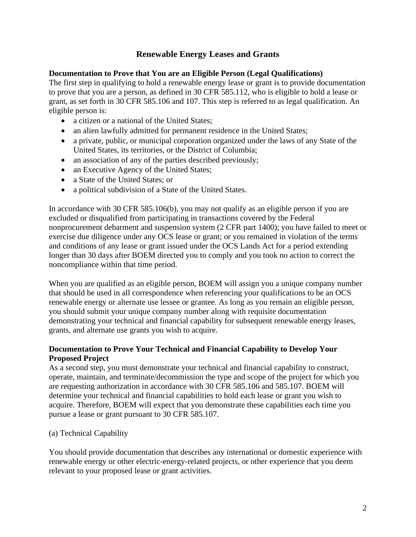# **Renewable Energy Leases and Grants**

#### **Documentation to Prove that You are an Eligible Person (Legal Qualifications)**

The first step in qualifying to hold a renewable energy lease or grant is to provide documentation to prove that you are a person, as defined in 30 CFR 585.112, who is eligible to hold a lease or grant, as set forth in 30 CFR 585.106 and 107. This step is referred to as legal qualification. An eligible person is:

- a citizen or a national of the United States;
- an alien lawfully admitted for permanent residence in the United States;
- a private, public, or municipal corporation organized under the laws of any State of the United States, its territories, or the District of Columbia;
- an association of any of the parties described previously;
- an Executive Agency of the United States;
- a State of the United States; or
- a political subdivision of a State of the United States.

In accordance with 30 CFR 585.106(b), you may not qualify as an eligible person if you are excluded or disqualified from participating in transactions covered by the Federal nonprocurement debarment and suspension system (2 CFR part 1400); you have failed to meet or exercise due diligence under any OCS lease or grant; or you remained in violation of the terms and conditions of any lease or grant issued under the OCS Lands Act for a period extending longer than 30 days after BOEM directed you to comply and you took no action to correct the noncompliance within that time period.

When you are qualified as an eligible person, BOEM will assign you a unique company number that should be used in all correspondence when referencing your qualifications to be an OCS renewable energy or alternate use lessee or grantee. As long as you remain an eligible person, you should submit your unique company number along with requisite documentation demonstrating your technical and financial capability for subsequent renewable energy leases, grants, and alternate use grants you wish to acquire.

### **Documentation to Prove Your Technical and Financial Capability to Develop Your Proposed Project**

As a second step, you must demonstrate your technical and financial capability to construct, operate, maintain, and terminate/decommission the type and scope of the project for which you are requesting authorization in accordance with 30 CFR 585.106 and 585.107. BOEM will determine your technical and financial capabilities to hold each lease or grant you wish to acquire. Therefore, BOEM will expect that you demonstrate these capabilities each time you pursue a lease or grant pursuant to 30 CFR 585.107.

(a) Technical Capability

You should provide documentation that describes any international or domestic experience with renewable energy or other electric-energy-related projects, or other experience that you deem relevant to your proposed lease or grant activities.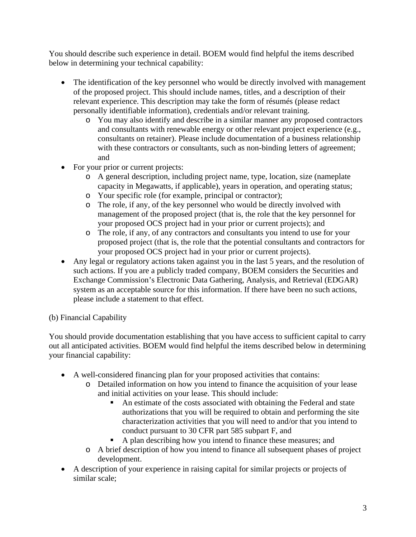You should describe such experience in detail. BOEM would find helpful the items described below in determining your technical capability:

- The identification of the key personnel who would be directly involved with management of the proposed project. This should include names, titles, and a description of their relevant experience. This description may take the form of résumés (please redact personally identifiable information), credentials and/or relevant training.
	- o You may also identify and describe in a similar manner any proposed contractors and consultants with renewable energy or other relevant project experience (e.g., consultants on retainer). Please include documentation of a business relationship with these contractors or consultants, such as non-binding letters of agreement; and
- For your prior or current projects:
	- o A general description, including project name, type, location, size (nameplate capacity in Megawatts, if applicable), years in operation, and operating status;
	- o Your specific role (for example, principal or contractor);
	- o The role, if any, of the key personnel who would be directly involved with management of the proposed project (that is, the role that the key personnel for your proposed OCS project had in your prior or current projects); and
	- o The role, if any, of any contractors and consultants you intend to use for your proposed project (that is, the role that the potential consultants and contractors for your proposed OCS project had in your prior or current projects).
- Any legal or regulatory actions taken against you in the last 5 years, and the resolution of such actions. If you are a publicly traded company, BOEM considers the Securities and Exchange Commission's Electronic Data Gathering, Analysis, and Retrieval (EDGAR) system as an acceptable source for this information. If there have been no such actions, please include a statement to that effect.

# (b) Financial Capability

You should provide documentation establishing that you have access to sufficient capital to carry out all anticipated activities. BOEM would find helpful the items described below in determining your financial capability:

- A well-considered financing plan for your proposed activities that contains:
	- o Detailed information on how you intend to finance the acquisition of your lease and initial activities on your lease. This should include:
		- An estimate of the costs associated with obtaining the Federal and state authorizations that you will be required to obtain and performing the site characterization activities that you will need to and/or that you intend to conduct pursuant to 30 CFR part 585 subpart F, and
		- A plan describing how you intend to finance these measures; and
	- o A brief description of how you intend to finance all subsequent phases of project development.
- A description of your experience in raising capital for similar projects or projects of similar scale;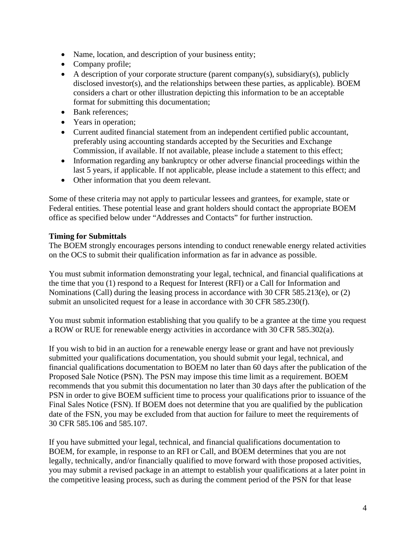- Name, location, and description of your business entity;
- Company profile;
- A description of your corporate structure (parent company(s), subsidiary(s), publicly disclosed investor(s), and the relationships between these parties, as applicable). BOEM considers a chart or other illustration depicting this information to be an acceptable format for submitting this documentation;
- Bank references;
- Years in operation;
- Current audited financial statement from an independent certified public accountant, preferably using accounting standards accepted by the Securities and Exchange Commission, if available. If not available, please include a statement to this effect;
- Information regarding any bankruptcy or other adverse financial proceedings within the last 5 years, if applicable. If not applicable, please include a statement to this effect; and
- Other information that you deem relevant.

Some of these criteria may not apply to particular lessees and grantees, for example, state or Federal entities. These potential lease and grant holders should contact the appropriate BOEM office as specified below under "Addresses and Contacts" for further instruction.

#### **Timing for Submittals**

The BOEM strongly encourages persons intending to conduct renewable energy related activities on the OCS to submit their qualification information as far in advance as possible.

You must submit information demonstrating your legal, technical, and financial qualifications at the time that you (1) respond to a Request for Interest (RFI) or a Call for Information and Nominations (Call) during the leasing process in accordance with 30 CFR 585.213(e), or (2) submit an unsolicited request for a lease in accordance with 30 CFR 585.230(f).

You must submit information establishing that you qualify to be a grantee at the time you request a ROW or RUE for renewable energy activities in accordance with 30 CFR 585.302(a).

If you wish to bid in an auction for a renewable energy lease or grant and have not previously submitted your qualifications documentation, you should submit your legal, technical, and financial qualifications documentation to BOEM no later than 60 days after the publication of the Proposed Sale Notice (PSN). The PSN may impose this time limit as a requirement. BOEM recommends that you submit this documentation no later than 30 days after the publication of the PSN in order to give BOEM sufficient time to process your qualifications prior to issuance of the Final Sales Notice (FSN). If BOEM does not determine that you are qualified by the publication date of the FSN, you may be excluded from that auction for failure to meet the requirements of 30 CFR 585.106 and 585.107.

If you have submitted your legal, technical, and financial qualifications documentation to BOEM, for example, in response to an RFI or Call, and BOEM determines that you are not legally, technically, and/or financially qualified to move forward with those proposed activities, you may submit a revised package in an attempt to establish your qualifications at a later point in the competitive leasing process, such as during the comment period of the PSN for that lease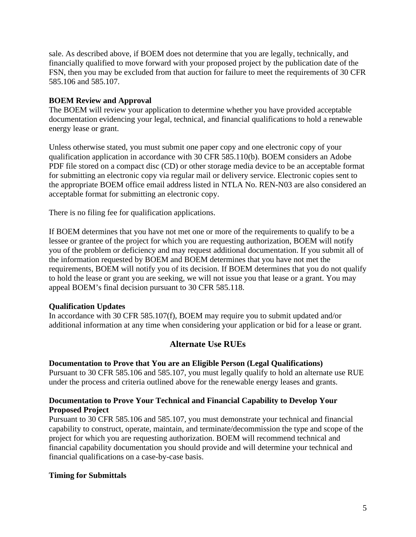sale. As described above, if BOEM does not determine that you are legally, technically, and financially qualified to move forward with your proposed project by the publication date of the FSN, then you may be excluded from that auction for failure to meet the requirements of 30 CFR 585.106 and 585.107.

### **BOEM Review and Approval**

The BOEM will review your application to determine whether you have provided acceptable documentation evidencing your legal, technical, and financial qualifications to hold a renewable energy lease or grant.

Unless otherwise stated, you must submit one paper copy and one electronic copy of your qualification application in accordance with 30 CFR 585.110(b). BOEM considers an Adobe PDF file stored on a compact disc (CD) or other storage media device to be an acceptable format for submitting an electronic copy via regular mail or delivery service. Electronic copies sent to the appropriate BOEM office email address listed in NTLA No. REN-N03 are also considered an acceptable format for submitting an electronic copy.

There is no filing fee for qualification applications.

If BOEM determines that you have not met one or more of the requirements to qualify to be a lessee or grantee of the project for which you are requesting authorization, BOEM will notify you of the problem or deficiency and may request additional documentation. If you submit all of the information requested by BOEM and BOEM determines that you have not met the requirements, BOEM will notify you of its decision. If BOEM determines that you do not qualify to hold the lease or grant you are seeking, we will not issue you that lease or a grant. You may appeal BOEM's final decision pursuant to 30 CFR 585.118.

#### **Qualification Updates**

In accordance with 30 CFR 585.107(f), BOEM may require you to submit updated and/or additional information at any time when considering your application or bid for a lease or grant.

# **Alternate Use RUEs**

#### **Documentation to Prove that You are an Eligible Person (Legal Qualifications)**

Pursuant to 30 CFR 585.106 and 585.107, you must legally qualify to hold an alternate use RUE under the process and criteria outlined above for the renewable energy leases and grants.

### **Documentation to Prove Your Technical and Financial Capability to Develop Your Proposed Project**

Pursuant to 30 CFR 585.106 and 585.107, you must demonstrate your technical and financial capability to construct, operate, maintain, and terminate/decommission the type and scope of the project for which you are requesting authorization. BOEM will recommend technical and financial capability documentation you should provide and will determine your technical and financial qualifications on a case-by-case basis.

#### **Timing for Submittals**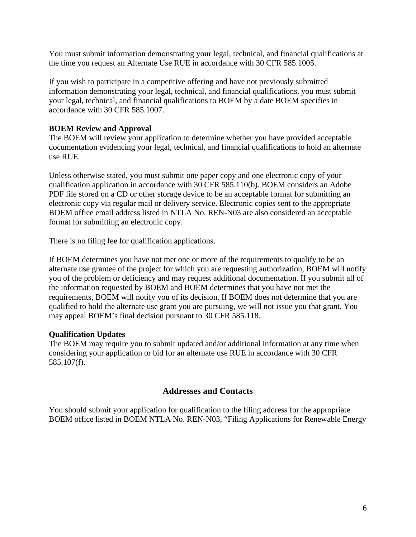You must submit information demonstrating your legal, technical, and financial qualifications at the time you request an Alternate Use RUE in accordance with 30 CFR 585.1005.

If you wish to participate in a competitive offering and have not previously submitted information demonstrating your legal, technical, and financial qualifications, you must submit your legal, technical, and financial qualifications to BOEM by a date BOEM specifies in accordance with 30 CFR 585.1007.

### **BOEM Review and Approval**

The BOEM will review your application to determine whether you have provided acceptable documentation evidencing your legal, technical, and financial qualifications to hold an alternate use RUE.

Unless otherwise stated, you must submit one paper copy and one electronic copy of your qualification application in accordance with 30 CFR 585.110(b). BOEM considers an Adobe PDF file stored on a CD or other storage device to be an acceptable format for submitting an electronic copy via regular mail or delivery service. Electronic copies sent to the appropriate BOEM office email address listed in NTLA No. REN-N03 are also considered an acceptable format for submitting an electronic copy.

There is no filing fee for qualification applications.

If BOEM determines you have not met one or more of the requirements to qualify to be an alternate use grantee of the project for which you are requesting authorization, BOEM will notify you of the problem or deficiency and may request additional documentation. If you submit all of the information requested by BOEM and BOEM determines that you have not met the requirements, BOEM will notify you of its decision. If BOEM does not determine that you are qualified to hold the alternate use grant you are pursuing, we will not issue you that grant. You may appeal BOEM's final decision pursuant to 30 CFR 585.118.

#### **Qualification Updates**

The BOEM may require you to submit updated and/or additional information at any time when considering your application or bid for an alternate use RUE in accordance with 30 CFR 585.107(f).

#### **Addresses and Contacts**

You should submit your application for qualification to the filing address for the appropriate BOEM office listed in BOEM NTLA No. REN-N03, "Filing Applications for Renewable Energy